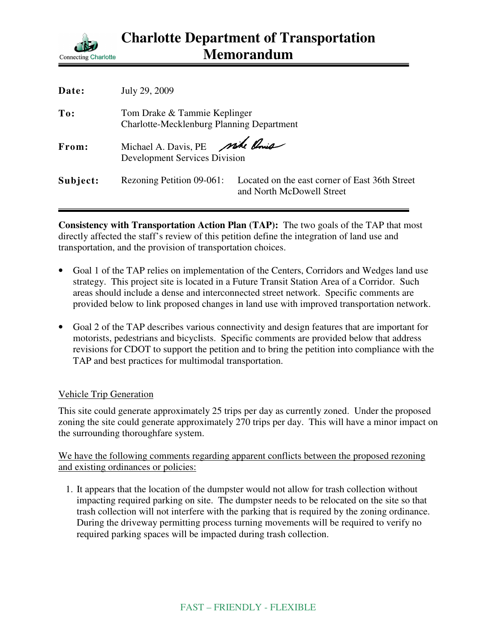

| Date:    | July 29, 2009                                                             |                                                                             |
|----------|---------------------------------------------------------------------------|-----------------------------------------------------------------------------|
| To:      | Tom Drake & Tammie Keplinger<br>Charlotte-Mecklenburg Planning Department |                                                                             |
| From:    | Michael A. Davis, PE site Point<br><b>Development Services Division</b>   |                                                                             |
| Subject: | Rezoning Petition 09-061:                                                 | Located on the east corner of East 36th Street<br>and North McDowell Street |

**Consistency with Transportation Action Plan (TAP):** The two goals of the TAP that most directly affected the staff's review of this petition define the integration of land use and transportation, and the provision of transportation choices.

- Goal 1 of the TAP relies on implementation of the Centers, Corridors and Wedges land use strategy. This project site is located in a Future Transit Station Area of a Corridor. Such areas should include a dense and interconnected street network. Specific comments are provided below to link proposed changes in land use with improved transportation network.
- Goal 2 of the TAP describes various connectivity and design features that are important for motorists, pedestrians and bicyclists. Specific comments are provided below that address revisions for CDOT to support the petition and to bring the petition into compliance with the TAP and best practices for multimodal transportation.

## Vehicle Trip Generation

This site could generate approximately 25 trips per day as currently zoned. Under the proposed zoning the site could generate approximately 270 trips per day. This will have a minor impact on the surrounding thoroughfare system.

We have the following comments regarding apparent conflicts between the proposed rezoning and existing ordinances or policies:

1. It appears that the location of the dumpster would not allow for trash collection without impacting required parking on site. The dumpster needs to be relocated on the site so that trash collection will not interfere with the parking that is required by the zoning ordinance. During the driveway permitting process turning movements will be required to verify no required parking spaces will be impacted during trash collection.